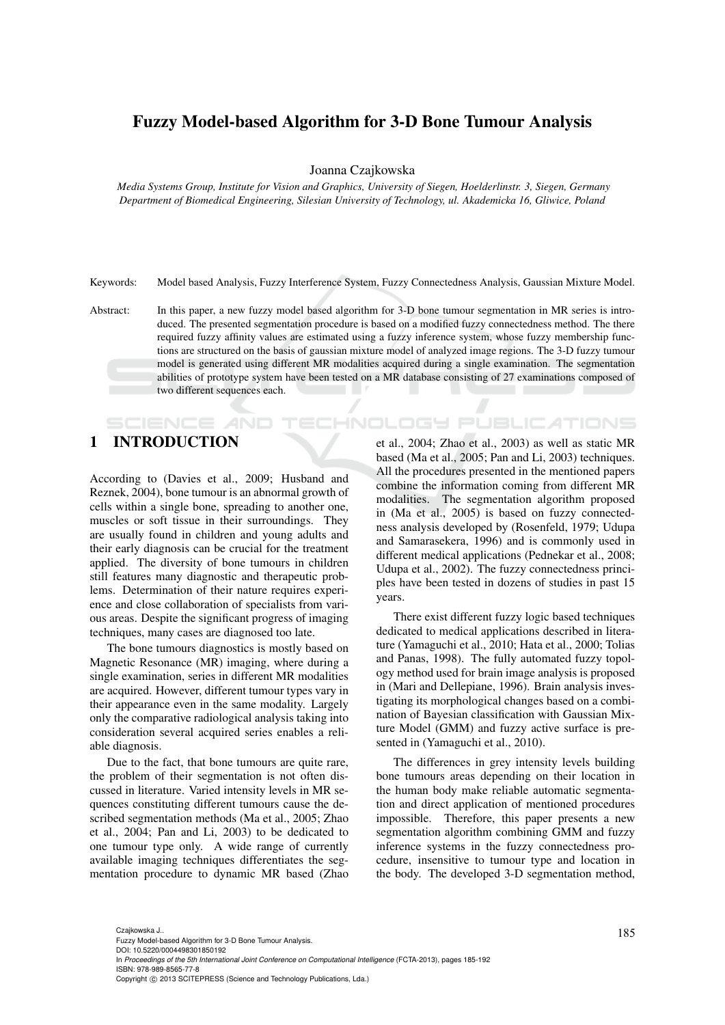## Fuzzy Model-based Algorithm for 3-D Bone Tumour Analysis

Joanna Czajkowska

*Media Systems Group, Institute for Vision and Graphics, University of Siegen, Hoelderlinstr. 3, Siegen, Germany Department of Biomedical Engineering, Silesian University of Technology, ul. Akademicka 16, Gliwice, Poland*

Keywords: Model based Analysis, Fuzzy Interference System, Fuzzy Connectedness Analysis, Gaussian Mixture Model.

Abstract: In this paper, a new fuzzy model based algorithm for 3-D bone tumour segmentation in MR series is introduced. The presented segmentation procedure is based on a modified fuzzy connectedness method. The there required fuzzy affinity values are estimated using a fuzzy inference system, whose fuzzy membership functions are structured on the basis of gaussian mixture model of analyzed image regions. The 3-D fuzzy tumour model is generated using different MR modalities acquired during a single examination. The segmentation abilities of prototype system have been tested on a MR database consisting of 27 examinations composed of two different sequences each.

# 1 INTRODUCTION

**SCIENCE AND** 

According to (Davies et al., 2009; Husband and Reznek, 2004), bone tumour is an abnormal growth of cells within a single bone, spreading to another one, muscles or soft tissue in their surroundings. They are usually found in children and young adults and their early diagnosis can be crucial for the treatment applied. The diversity of bone tumours in children still features many diagnostic and therapeutic problems. Determination of their nature requires experience and close collaboration of specialists from various areas. Despite the significant progress of imaging techniques, many cases are diagnosed too late.

The bone tumours diagnostics is mostly based on Magnetic Resonance (MR) imaging, where during a single examination, series in different MR modalities are acquired. However, different tumour types vary in their appearance even in the same modality. Largely only the comparative radiological analysis taking into consideration several acquired series enables a reliable diagnosis.

Due to the fact, that bone tumours are quite rare, the problem of their segmentation is not often discussed in literature. Varied intensity levels in MR sequences constituting different tumours cause the described segmentation methods (Ma et al., 2005; Zhao et al., 2004; Pan and Li, 2003) to be dedicated to one tumour type only. A wide range of currently available imaging techniques differentiates the segmentation procedure to dynamic MR based (Zhao et al., 2004; Zhao et al., 2003) as well as static MR based (Ma et al., 2005; Pan and Li, 2003) techniques. All the procedures presented in the mentioned papers combine the information coming from different MR modalities. The segmentation algorithm proposed in (Ma et al., 2005) is based on fuzzy connectedness analysis developed by (Rosenfeld, 1979; Udupa and Samarasekera, 1996) and is commonly used in different medical applications (Pednekar et al., 2008; Udupa et al., 2002). The fuzzy connectedness principles have been tested in dozens of studies in past 15 years.

**ECHNOLOGY PUBLICATIONS** 

There exist different fuzzy logic based techniques dedicated to medical applications described in literature (Yamaguchi et al., 2010; Hata et al., 2000; Tolias and Panas, 1998). The fully automated fuzzy topology method used for brain image analysis is proposed in (Mari and Dellepiane, 1996). Brain analysis investigating its morphological changes based on a combination of Bayesian classification with Gaussian Mixture Model (GMM) and fuzzy active surface is presented in (Yamaguchi et al., 2010).

The differences in grey intensity levels building bone tumours areas depending on their location in the human body make reliable automatic segmentation and direct application of mentioned procedures impossible. Therefore, this paper presents a new segmentation algorithm combining GMM and fuzzy inference systems in the fuzzy connectedness procedure, insensitive to tumour type and location in the body. The developed 3-D segmentation method,

In *Proceedings of the 5th International Joint Conference on Computational Intelligence* (FCTA-2013), pages 185-192 ISBN: 978-989-8565-77-8

Copyright © 2013 SCITEPRESS (Science and Technology Publications, Lda.)

Czajkowska J..<br>Fuzzy Model-based Algorithm for 3-D Bone Tumour Analysis. DOI: 10.5220/0004498301850192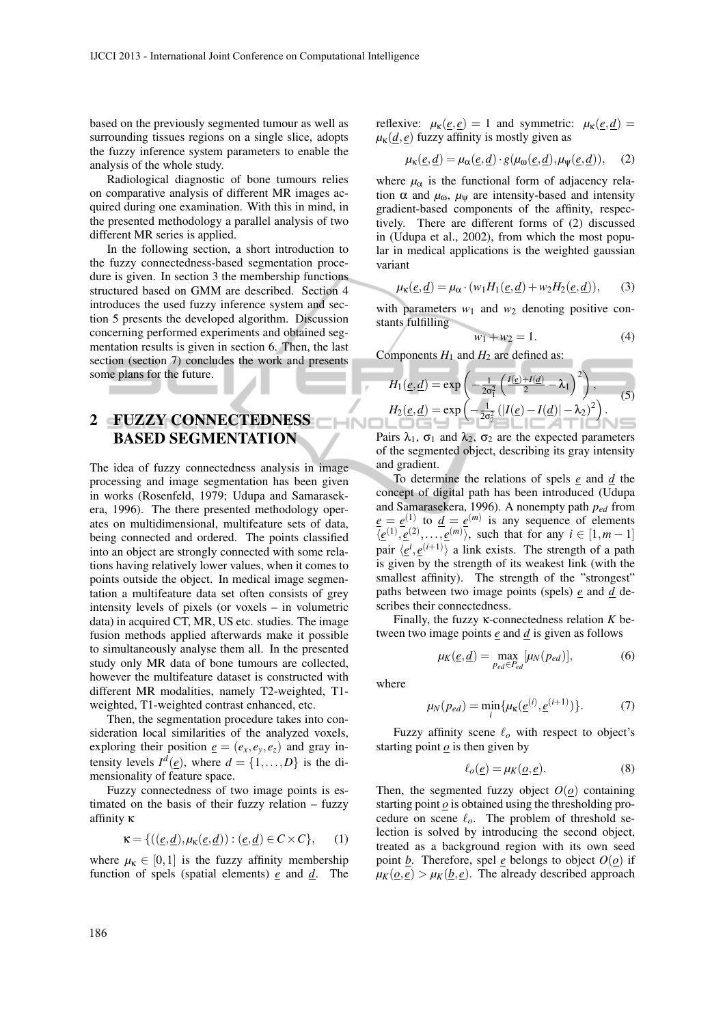based on the previously segmented tumour as well as surrounding tissues regions on a single slice, adopts the fuzzy inference system parameters to enable the analysis of the whole study.

Radiological diagnostic of bone tumours relies on comparative analysis of different MR images acquired during one examination. With this in mind, in the presented methodology a parallel analysis of two different MR series is applied.

In the following section, a short introduction to the fuzzy connectedness-based segmentation procedure is given. In section 3 the membership functions structured based on GMM are described. Section 4 introduces the used fuzzy inference system and section 5 presents the developed algorithm. Discussion concerning performed experiments and obtained segmentation results is given in section 6. Then, the last section (section 7) concludes the work and presents some plans for the future.

# 2 FUZZY CONNECTEDNESS BASED SEGMENTATION

The idea of fuzzy connectedness analysis in image processing and image segmentation has been given in works (Rosenfeld, 1979; Udupa and Samarasekera, 1996). The there presented methodology operates on multidimensional, multifeature sets of data, being connected and ordered. The points classified into an object are strongly connected with some relations having relatively lower values, when it comes to points outside the object. In medical image segmentation a multifeature data set often consists of grey intensity levels of pixels (or voxels – in volumetric data) in acquired CT, MR, US etc. studies. The image fusion methods applied afterwards make it possible to simultaneously analyse them all. In the presented study only MR data of bone tumours are collected, however the multifeature dataset is constructed with different MR modalities, namely T2-weighted, T1 weighted, T1-weighted contrast enhanced, etc.

Then, the segmentation procedure takes into consideration local similarities of the analyzed voxels, exploring their position  $\underline{e} = (e_x, e_y, e_z)$  and gray intensity levels  $I^d(\underline{e})$ , where  $d = \{1, ..., D\}$  is the dimensionality of feature space.

Fuzzy connectedness of two image points is estimated on the basis of their fuzzy relation – fuzzy affinity κ

$$
\kappa = \{ ((\underline{e}, \underline{d}), \mu_{\kappa}(\underline{e}, \underline{d})) : (\underline{e}, \underline{d}) \in C \times C \}, \quad (1)
$$

where  $\mu_{\kappa} \in [0,1]$  is the fuzzy affinity membership function of spels (spatial elements) *e* and *d*. The reflexive:  $\mu_{\kappa}(\underline{e}, \underline{e}) = 1$  and symmetric:  $\mu_{\kappa}(\underline{e}, \underline{d}) =$  $\mu_k(\underline{d}, \underline{e})$  fuzzy affinity is mostly given as

$$
\mu_{\kappa}(\underline{e}, \underline{d}) = \mu_{\alpha}(\underline{e}, \underline{d}) \cdot g(\mu_{\omega}(\underline{e}, \underline{d}), \mu_{\psi}(\underline{e}, \underline{d})), \quad (2)
$$

where  $\mu_{\alpha}$  is the functional form of adjacency relation  $\alpha$  and  $\mu_{\omega}$ ,  $\mu_{\psi}$  are intensity-based and intensity gradient-based components of the affinity, respectively. There are different forms of (2) discussed in (Udupa et al., 2002), from which the most popular in medical applications is the weighted gaussian variant

$$
\mu_{\kappa}(\underline{e}, \underline{d}) = \mu_{\alpha} \cdot (w_1 H_1(\underline{e}, \underline{d}) + w_2 H_2(\underline{e}, \underline{d})), \quad (3)
$$

with parameters  $w_1$  and  $w_2$  denoting positive constants fulfilling

$$
w_1 + w_2 = 1.
$$
 (4)

Components  $H_1$  and  $H_2$  are defined as:

$$
H_1(\underline{e}, \underline{d}) = \exp\left(-\frac{1}{2\sigma_1^2} \left(\frac{I(\underline{e}) + I(\underline{d})}{2} - \lambda_1\right)^2\right),
$$
  
\n
$$
H_2(\underline{e}, \underline{d}) = \exp\left(-\frac{1}{2\sigma_2^2} \left(|I(\underline{e}) - I(\underline{d})| - \lambda_2\right)^2\right).
$$
\n(5)

Pairs  $\lambda_1$ ,  $\sigma_1$  and  $\lambda_2$ ,  $\sigma_2$  are the expected parameters of the segmented object, describing its gray intensity and gradient.

To determine the relations of spels *e* and *d* the concept of digital path has been introduced (Udupa and Samarasekera, 1996). A nonempty path *ped* from  $e = e^{(1)}$  to  $d = e^{(m)}$  is any sequence of elements  $\langle \underline{e}^{(1)}, \underline{e}^{(2)}, \ldots, \underline{e}^{(m)} \rangle$ , such that for any  $i \in [1, m-1]$ pair  $\langle \underline{e}^i, \underline{e}^{(i+1)} \rangle$  a link exists. The strength of a path is given by the strength of its weakest link (with the smallest affinity). The strength of the "strongest" paths between two image points (spels) *e* and *d* describes their connectedness.

Finally, the fuzzy κ-connectedness relation *K* between two image points *e* and *d* is given as follows

$$
\mu_K(\underline{e}, \underline{d}) = \max_{p_{ed} \in P_{ed}} [\mu_N(p_{ed})], \tag{6}
$$

where

INII

$$
\mu_N(p_{ed}) = \min_i \{ \mu_k(\underline{e}^{(i)}, \underline{e}^{(i+1)}) \}.
$$
 (7)

Fuzzy affinity scene *ℓ<sup>o</sup>* with respect to object's starting point  $\phi$  is then given by

$$
\ell_o(\underline{e}) = \mu_K(\underline{o}, \underline{e}). \tag{8}
$$

Then, the segmented fuzzy object  $O(\rho)$  containing starting point *o* is obtained using the thresholding procedure on scene *ℓo*. The problem of threshold selection is solved by introducing the second object, treated as a background region with its own seed point *b*. Therefore, spel *e* belongs to object  $O(o)$  if  $\mu_K(\underline{o}, \underline{e}) > \mu_K(\underline{b}, \underline{e})$ . The already described approach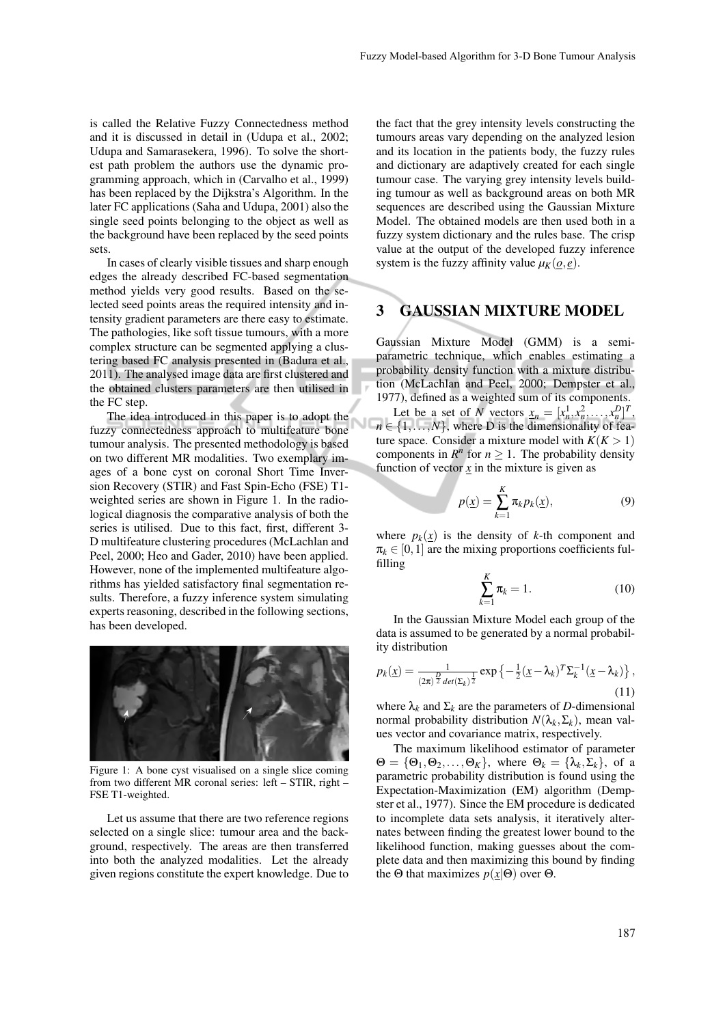is called the Relative Fuzzy Connectedness method and it is discussed in detail in (Udupa et al., 2002; Udupa and Samarasekera, 1996). To solve the shortest path problem the authors use the dynamic programming approach, which in (Carvalho et al., 1999) has been replaced by the Dijkstra's Algorithm. In the later FC applications (Saha and Udupa, 2001) also the single seed points belonging to the object as well as the background have been replaced by the seed points sets.

In cases of clearly visible tissues and sharp enough edges the already described FC-based segmentation method yields very good results. Based on the selected seed points areas the required intensity and intensity gradient parameters are there easy to estimate. The pathologies, like soft tissue tumours, with a more complex structure can be segmented applying a clustering based FC analysis presented in (Badura et al., 2011). The analysed image data are first clustered and the obtained clusters parameters are then utilised in the FC step.

The idea introduced in this paper is to adopt the fuzzy connectedness approach to multifeature bone tumour analysis. The presented methodology is based on two different MR modalities. Two exemplary images of a bone cyst on coronal Short Time Inversion Recovery (STIR) and Fast Spin-Echo (FSE) T1 weighted series are shown in Figure 1. In the radiological diagnosis the comparative analysis of both the series is utilised. Due to this fact, first, different 3- D multifeature clustering procedures (McLachlan and Peel, 2000; Heo and Gader, 2010) have been applied. However, none of the implemented multifeature algorithms has yielded satisfactory final segmentation results. Therefore, a fuzzy inference system simulating experts reasoning, described in the following sections, has been developed.



Figure 1: A bone cyst visualised on a single slice coming from two different MR coronal series: left – STIR, right – FSE T1-weighted.

Let us assume that there are two reference regions selected on a single slice: tumour area and the background, respectively. The areas are then transferred into both the analyzed modalities. Let the already given regions constitute the expert knowledge. Due to

the fact that the grey intensity levels constructing the tumours areas vary depending on the analyzed lesion and its location in the patients body, the fuzzy rules and dictionary are adaptively created for each single tumour case. The varying grey intensity levels building tumour as well as background areas on both MR sequences are described using the Gaussian Mixture Model. The obtained models are then used both in a fuzzy system dictionary and the rules base. The crisp value at the output of the developed fuzzy inference system is the fuzzy affinity value  $\mu_K(\rho, \rho)$ .

## 3 GAUSSIAN MIXTURE MODEL

Gaussian Mixture Model (GMM) is a semiparametric technique, which enables estimating a probability density function with a mixture distribution (McLachlan and Peel, 2000; Dempster et al., 1977), defined as a weighted sum of its components.

Let be a set of *N* vectors  $\underline{x}_n = [x_n^1, x_n^2, \dots, x_n^D]^T$ ,  $n \in \{1, \ldots, N\}$ , where D is the dimensionality of feature space. Consider a mixture model with  $K(K > 1)$ components in  $R^n$  for  $n \geq 1$ . The probability density function of vector  $\mathbf{x}$  in the mixture is given as

$$
p(\underline{x}) = \sum_{k=1}^{K} \pi_k p_k(\underline{x}), \qquad (9)
$$

where  $p_k(x)$  is the density of *k*-th component and  $\pi_k \in [0,1]$  are the mixing proportions coefficients fulfilling

$$
\sum_{k=1}^{K} \pi_k = 1.
$$
\n(10)

In the Gaussian Mixture Model each group of the data is assumed to be generated by a normal probability distribution

$$
p_k(\underline{x}) = \frac{1}{(2\pi)^{\frac{D}{2}} \det(\Sigma_k)^{\frac{1}{2}}}\exp\left\{-\frac{1}{2}(\underline{x}-\lambda_k)^T \Sigma_k^{-1}(\underline{x}-\lambda_k)\right\},\tag{11}
$$

where  $\lambda_k$  and  $\Sigma_k$  are the parameters of *D*-dimensional normal probability distribution  $N(\lambda_k, \Sigma_k)$ , mean values vector and covariance matrix, respectively.

The maximum likelihood estimator of parameter  $\Theta = {\Theta_1, \Theta_2, \dots, \Theta_K}$ , where  $\Theta_k = {\lambda_k, \Sigma_k}$ , of a parametric probability distribution is found using the Expectation-Maximization (EM) algorithm (Dempster et al., 1977). Since the EM procedure is dedicated to incomplete data sets analysis, it iteratively alternates between finding the greatest lower bound to the likelihood function, making guesses about the complete data and then maximizing this bound by finding the Θ that maximizes  $p(x|\Theta)$  over Θ.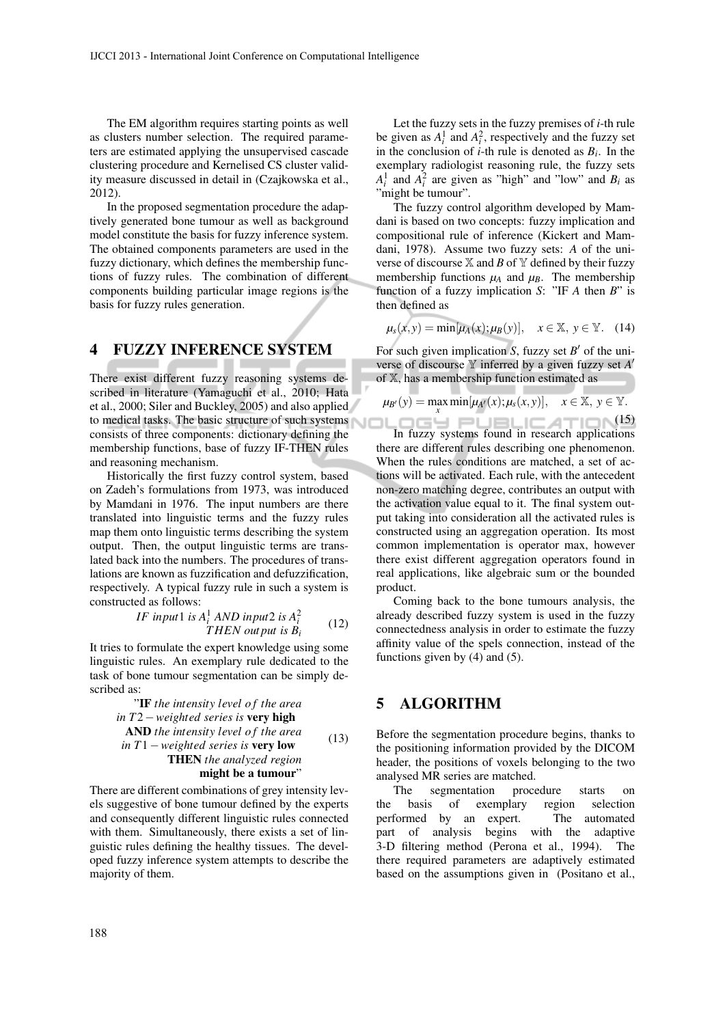The EM algorithm requires starting points as well as clusters number selection. The required parameters are estimated applying the unsupervised cascade clustering procedure and Kernelised CS cluster validity measure discussed in detail in (Czajkowska et al., 2012).

In the proposed segmentation procedure the adaptively generated bone tumour as well as background model constitute the basis for fuzzy inference system. The obtained components parameters are used in the fuzzy dictionary, which defines the membership functions of fuzzy rules. The combination of different components building particular image regions is the basis for fuzzy rules generation.

#### 4 FUZZY INFERENCE SYSTEM

There exist different fuzzy reasoning systems described in literature (Yamaguchi et al., 2010; Hata et al., 2000; Siler and Buckley, 2005) and also applied to medical tasks. The basic structure of such systems consists of three components: dictionary defining the membership functions, base of fuzzy IF-THEN rules and reasoning mechanism.

Historically the first fuzzy control system, based on Zadeh's formulations from 1973, was introduced by Mamdani in 1976. The input numbers are there translated into linguistic terms and the fuzzy rules map them onto linguistic terms describing the system output. Then, the output linguistic terms are translated back into the numbers. The procedures of translations are known as fuzzification and defuzzification, respectively. A typical fuzzy rule in such a system is constructed as follows:

IF input1 is 
$$
A_i^1
$$
 AND input2 is  $A_i^2$   
THEN output is  $B_i$  (12)

It tries to formulate the expert knowledge using some linguistic rules. An exemplary rule dedicated to the task of bone tumour segmentation can be simply described as:

"IF the intensity level of the area in 
$$
T2
$$
 – weighted series is very high

\nAND the intensity level of the area in  $T1$  – weighted series is very low

\nTHEN the analyzed region might be a tumour"

There are different combinations of grey intensity levels suggestive of bone tumour defined by the experts and consequently different linguistic rules connected with them. Simultaneously, there exists a set of linguistic rules defining the healthy tissues. The developed fuzzy inference system attempts to describe the majority of them.

Let the fuzzy sets in the fuzzy premises of *i*-th rule be given as  $A_i^1$  and  $A_i^2$ , respectively and the fuzzy set in the conclusion of *i*-th rule is denoted as  $B_i$ . In the exemplary radiologist reasoning rule, the fuzzy sets  $A_i^1$  and  $A_i^2$  are given as "high" and "low" and  $B_i$  as "might be tumour".

The fuzzy control algorithm developed by Mamdani is based on two concepts: fuzzy implication and compositional rule of inference (Kickert and Mamdani, 1978). Assume two fuzzy sets: *A* of the universe of discourse  $X$  and *B* of  $Y$  defined by their fuzzy membership functions  $\mu_A$  and  $\mu_B$ . The membership function of a fuzzy implication *S*: "IF *A* then *B*" is then defined as

$$
\mu_s(x, y) = \min[\mu_A(x); \mu_B(y)], \quad x \in \mathbb{X}, \ y \in \mathbb{Y}. \tag{14}
$$

For such given implication *S*, fuzzy set *B ′* of the universe of discourse Y inferred by a given fuzzy set  $A'$ of X, has a membership function estimated as

$$
\mu_{B'}(y) = \max \min[\mu_{A'}(x); \mu_s(x, y)], \quad x \in \mathbb{X}, y \in \mathbb{Y}.
$$

 $\frac{1}{2}$  (15) In fuzzy systems found in research applications there are different rules describing one phenomenon. When the rules conditions are matched, a set of actions will be activated. Each rule, with the antecedent non-zero matching degree, contributes an output with the activation value equal to it. The final system output taking into consideration all the activated rules is constructed using an aggregation operation. Its most common implementation is operator max, however there exist different aggregation operators found in real applications, like algebraic sum or the bounded product.

Coming back to the bone tumours analysis, the already described fuzzy system is used in the fuzzy connectedness analysis in order to estimate the fuzzy affinity value of the spels connection, instead of the functions given by (4) and (5).

### 5 ALGORITHM

Before the segmentation procedure begins, thanks to the positioning information provided by the DICOM header, the positions of voxels belonging to the two analysed MR series are matched.

The segmentation procedure starts on the basis of exemplary region selection performed by an expert. The automated part of analysis begins with the adaptive 3-D filtering method (Perona et al., 1994). The there required parameters are adaptively estimated based on the assumptions given in (Positano et al.,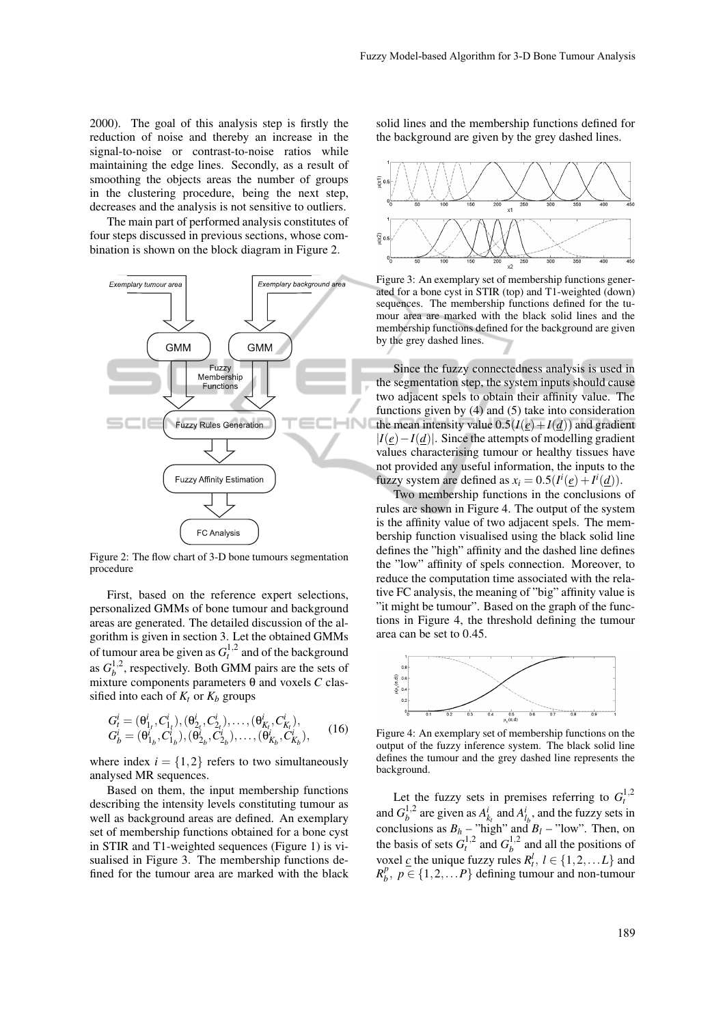2000). The goal of this analysis step is firstly the reduction of noise and thereby an increase in the signal-to-noise or contrast-to-noise ratios while maintaining the edge lines. Secondly, as a result of smoothing the objects areas the number of groups in the clustering procedure, being the next step, decreases and the analysis is not sensitive to outliers.

The main part of performed analysis constitutes of four steps discussed in previous sections, whose combination is shown on the block diagram in Figure 2.



Figure 2: The flow chart of 3-D bone tumours segmentation procedure

First, based on the reference expert selections, personalized GMMs of bone tumour and background areas are generated. The detailed discussion of the algorithm is given in section 3. Let the obtained GMMs of tumour area be given as  $G_t^{1,2}$  and of the background as  $G_h^{1,2}$  $b<sup>1,2</sup>$ , respectively. Both GMM pairs are the sets of mixture components parameters θ and voxels *C* classified into each of  $K_t$  or  $K_b$  groups

$$
G_t^i = (\theta_{1_t}^i, C_{1_t}^i), (\theta_{2_t}^i, C_{2_t}^i), \dots, (\theta_{K_t}^i, C_{K_t}^i),
$$
  
\n
$$
G_b^i = (\theta_{1_b}^i, C_{1_b}^i), (\theta_{2_b}^i, C_{2_b}^i), \dots, (\theta_{K_b}^i, C_{K_b}^i),
$$
 (16)

where index  $i = \{1, 2\}$  refers to two simultaneously analysed MR sequences.

Based on them, the input membership functions describing the intensity levels constituting tumour as well as background areas are defined. An exemplary set of membership functions obtained for a bone cyst in STIR and T1-weighted sequences (Figure 1) is visualised in Figure 3. The membership functions defined for the tumour area are marked with the black

solid lines and the membership functions defined for the background are given by the grey dashed lines.



Figure 3: An exemplary set of membership functions generated for a bone cyst in STIR (top) and T1-weighted (down) sequences. The membership functions defined for the tumour area are marked with the black solid lines and the membership functions defined for the background are given by the grey dashed lines.

Since the fuzzy connectedness analysis is used in the segmentation step, the system inputs should cause two adjacent spels to obtain their affinity value. The functions given by (4) and (5) take into consideration the mean intensity value  $0.5(I(e) + I(d))$  and gradient *|I*(*e*)*−I*(*d*)*|*. Since the attempts of modelling gradient values characterising tumour or healthy tissues have not provided any useful information, the inputs to the fuzzy system are defined as  $x_i = 0.5(I^i(\underline{e}) + I^i(\underline{d})).$ 

Two membership functions in the conclusions of rules are shown in Figure 4. The output of the system is the affinity value of two adjacent spels. The membership function visualised using the black solid line defines the "high" affinity and the dashed line defines the "low" affinity of spels connection. Moreover, to reduce the computation time associated with the relative FC analysis, the meaning of "big" affinity value is "it might be tumour". Based on the graph of the functions in Figure 4, the threshold defining the tumour area can be set to 0*.*45.



Figure 4: An exemplary set of membership functions on the output of the fuzzy inference system. The black solid line defines the tumour and the grey dashed line represents the background.

Let the fuzzy sets in premises referring to  $G_t^{1,2}$ and  $G_h^{1,2}$  $a_b^{1,2}$  are given as  $A_{k_t}^i$  and  $A_{l_b}^i$ , and the fuzzy sets in conclusions as  $B_h$  – "high" and  $B_l$  – "low". Then, on the basis of sets  $G_t^{1,2}$  and  $G_b^{1,2}$  $b^1$ <sup>1,2</sup> and all the positions of voxel  $\subseteq$  the unique fuzzy rules  $R_t^l$ ,  $l \in \{1, 2, \ldots L\}$  and  $R_h^p$  $b^p, p \in \{1, 2, \ldots P\}$  defining tumour and non-tumour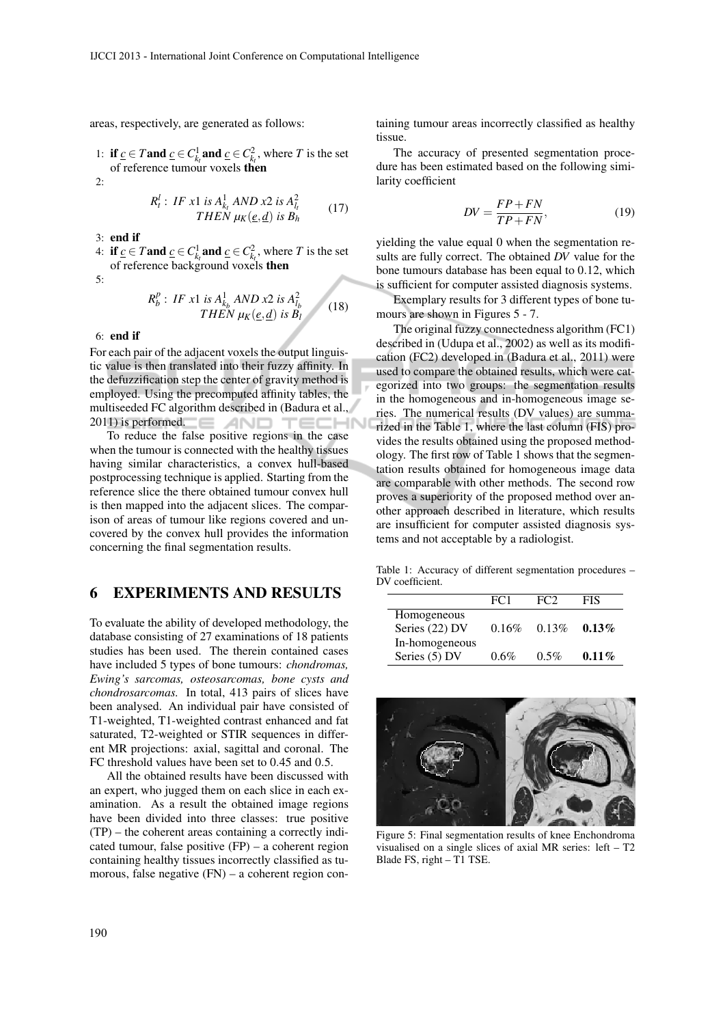areas, respectively, are generated as follows:

1: **if**  $\underline{c}$  ∈  $T$  and  $\underline{c}$  ∈  $C_{k}^1$  and  $\underline{c}$  ∈  $C_{k}^2$ , where  $T$  is the set of reference tumour voxels then

 $\mathcal{D}$ 

$$
R_t^l: IF x1 is A_{k_t}^1 AND x2 is A_{l_t}^2
$$
  
THEN  $\mu_K(\underline{e}, \underline{d})$  is B<sub>h</sub> (17)

- 3: end if
- 4: **if**  $\underline{c}$  ∈  $T$  and  $\underline{c}$  ∈  $C_{k_t}^1$  and  $\underline{c}$  ∈  $C_{k_t}^2$ , where  $T$  is the set of reference background voxels then

5:

$$
R_b^p: IF x1 is A_{k_b}^1 AND x2 is A_{l_b}^2
$$
  
THEN  $\mu_K(\underline{e}, \underline{d})$  is B\_l (18)

6: end if

For each pair of the adjacent voxels the output linguistic value is then translated into their fuzzy affinity. In the defuzzification step the center of gravity method is employed. Using the precomputed affinity tables, the multiseeded FC algorithm described in (Badura et al., 2011) is performed. AND TEC :HN

To reduce the false positive regions in the case when the tumour is connected with the healthy tissues having similar characteristics, a convex hull-based postprocessing technique is applied. Starting from the reference slice the there obtained tumour convex hull is then mapped into the adjacent slices. The comparison of areas of tumour like regions covered and uncovered by the convex hull provides the information concerning the final segmentation results.

## 6 EXPERIMENTS AND RESULTS

To evaluate the ability of developed methodology, the database consisting of 27 examinations of 18 patients studies has been used. The therein contained cases have included 5 types of bone tumours: *chondromas, Ewing's sarcomas, osteosarcomas, bone cysts and chondrosarcomas.* In total, 413 pairs of slices have been analysed. An individual pair have consisted of T1-weighted, T1-weighted contrast enhanced and fat saturated, T2-weighted or STIR sequences in different MR projections: axial, sagittal and coronal. The FC threshold values have been set to 0*.*45 and 0*.*5.

All the obtained results have been discussed with an expert, who jugged them on each slice in each examination. As a result the obtained image regions have been divided into three classes: true positive (TP) – the coherent areas containing a correctly indicated tumour, false positive (FP) – a coherent region containing healthy tissues incorrectly classified as tumorous, false negative (FN) – a coherent region containing tumour areas incorrectly classified as healthy tissue.

The accuracy of presented segmentation procedure has been estimated based on the following similarity coefficient

$$
DV = \frac{FP + FN}{TP + FN},\tag{19}
$$

yielding the value equal 0 when the segmentation results are fully correct. The obtained *DV* value for the bone tumours database has been equal to 0*.*12, which is sufficient for computer assisted diagnosis systems.

Exemplary results for 3 different types of bone tumours are shown in Figures 5 - 7.

The original fuzzy connectedness algorithm (FC1) described in (Udupa et al., 2002) as well as its modification (FC2) developed in (Badura et al., 2011) were used to compare the obtained results, which were categorized into two groups: the segmentation results in the homogeneous and in-homogeneous image series. The numerical results (DV values) are summarized in the Table 1, where the last column (FIS) provides the results obtained using the proposed methodology. The first row of Table 1 shows that the segmentation results obtained for homogeneous image data are comparable with other methods. The second row proves a superiority of the proposed method over another approach described in literature, which results are insufficient for computer assisted diagnosis systems and not acceptable by a radiologist.

Table 1: Accuracy of different segmentation procedures – DV coefficient.

|                | FC <sub>1</sub> | FC <sub>2</sub> | FIS      |
|----------------|-----------------|-----------------|----------|
| Homogeneous    |                 |                 |          |
| Series (22) DV | 0.16%           | 0.13%           | $0.13\%$ |
| In-homogeneous |                 |                 |          |
| Series (5) DV  | $0.6\%$         | $0.5\%$         | $0.11\%$ |



Figure 5: Final segmentation results of knee Enchondroma visualised on a single slices of axial MR series: left – T2 Blade FS, right – T1 TSE.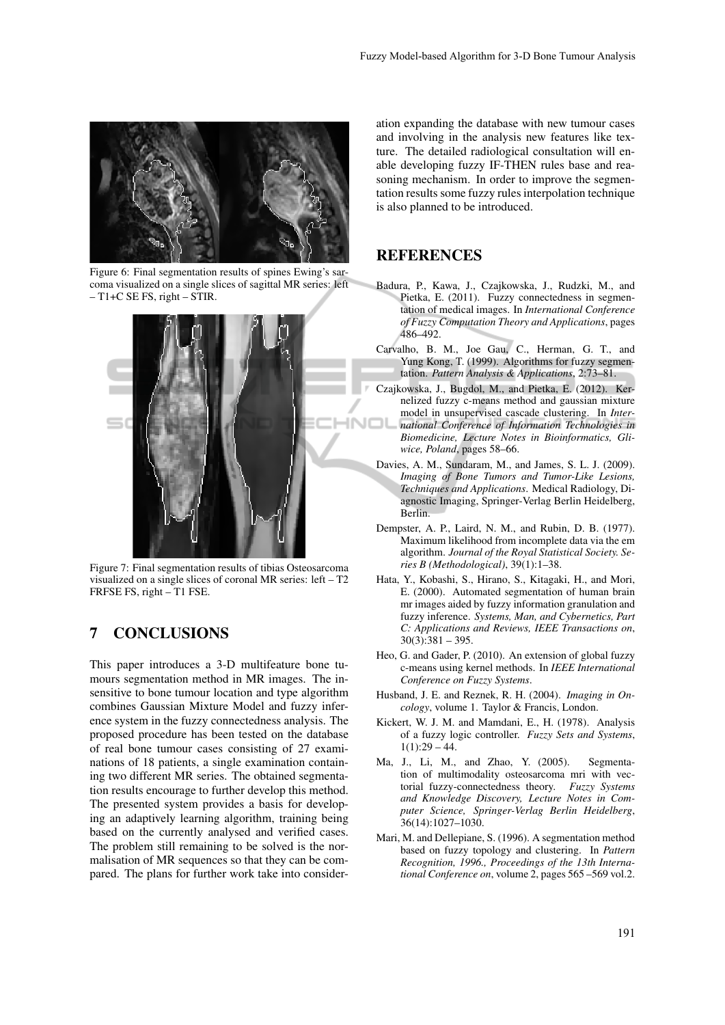

Figure 6: Final segmentation results of spines Ewing's sarcoma visualized on a single slices of sagittal MR series: left  $-$  T1+C SE FS, right  $-$  STIR.



Figure 7: Final segmentation results of tibias Osteosarcoma visualized on a single slices of coronal MR series: left – T2 FRFSE FS, right – T1 FSE.

## 7 CONCLUSIONS

This paper introduces a 3-D multifeature bone tumours segmentation method in MR images. The insensitive to bone tumour location and type algorithm combines Gaussian Mixture Model and fuzzy inference system in the fuzzy connectedness analysis. The proposed procedure has been tested on the database of real bone tumour cases consisting of 27 examinations of 18 patients, a single examination containing two different MR series. The obtained segmentation results encourage to further develop this method. The presented system provides a basis for developing an adaptively learning algorithm, training being based on the currently analysed and verified cases. The problem still remaining to be solved is the normalisation of MR sequences so that they can be compared. The plans for further work take into consider-

ation expanding the database with new tumour cases and involving in the analysis new features like texture. The detailed radiological consultation will enable developing fuzzy IF-THEN rules base and reasoning mechanism. In order to improve the segmentation results some fuzzy rules interpolation technique is also planned to be introduced.

### **REFERENCES**

- Badura, P., Kawa, J., Czajkowska, J., Rudzki, M., and Pietka, E. (2011). Fuzzy connectedness in segmentation of medical images. In *International Conference of Fuzzy Computation Theory and Applications*, pages 486–492.
- Carvalho, B. M., Joe Gau, C., Herman, G. T., and Yung Kong, T. (1999). Algorithms for fuzzy segmentation. *Pattern Analysis & Applications*, 2:73–81.
- Czajkowska, J., Bugdol, M., and Pietka, E. (2012). Kernelized fuzzy c-means method and gaussian mixture model in unsupervised cascade clustering. In *International Conference of Information Technologies in Biomedicine, Lecture Notes in Bioinformatics, Gliwice, Poland*, pages 58–66.
- Davies, A. M., Sundaram, M., and James, S. L. J. (2009). *Imaging of Bone Tumors and Tumor-Like Lesions, Techniques and Applications*. Medical Radiology, Diagnostic Imaging, Springer-Verlag Berlin Heidelberg, Berlin.
- Dempster, A. P., Laird, N. M., and Rubin, D. B. (1977). Maximum likelihood from incomplete data via the em algorithm. *Journal of the Royal Statistical Society. Series B (Methodological)*, 39(1):1–38.
- Hata, Y., Kobashi, S., Hirano, S., Kitagaki, H., and Mori, E. (2000). Automated segmentation of human brain mr images aided by fuzzy information granulation and fuzzy inference. *Systems, Man, and Cybernetics, Part C: Applications and Reviews, IEEE Transactions on*,  $30(3):381 - 395.$
- Heo, G. and Gader, P. (2010). An extension of global fuzzy c-means using kernel methods. In *IEEE International Conference on Fuzzy Systems*.
- Husband, J. E. and Reznek, R. H. (2004). *Imaging in Oncology*, volume 1. Taylor & Francis, London.
- Kickert, W. J. M. and Mamdani, E., H. (1978). Analysis of a fuzzy logic controller. *Fuzzy Sets and Systems*,  $1(1):29 - 44.$
- Ma, J., Li, M., and Zhao, Y. (2005). Segmentation of multimodality osteosarcoma mri with vectorial fuzzy-connectedness theory. *Fuzzy Systems and Knowledge Discovery, Lecture Notes in Computer Science, Springer-Verlag Berlin Heidelberg*, 36(14):1027–1030.
- Mari, M. and Dellepiane, S. (1996). A segmentation method based on fuzzy topology and clustering. In *Pattern Recognition, 1996., Proceedings of the 13th International Conference on*, volume 2, pages 565 –569 vol.2.